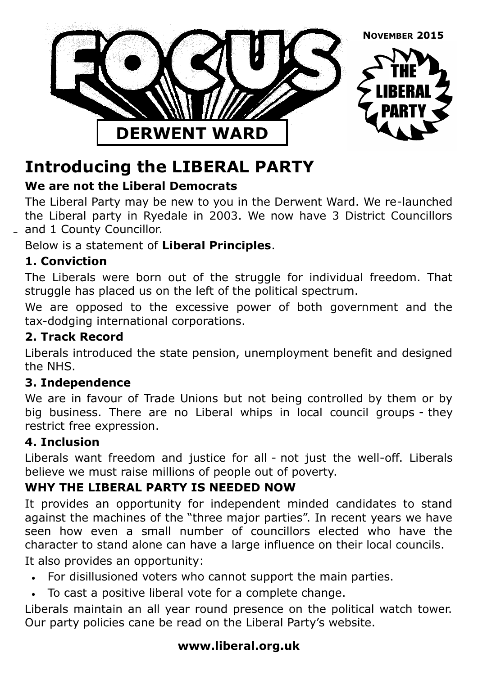

# **Introducing the LIBERAL PARTY**

### **We are not the Liberal Democrats**

The Liberal Party may be new to you in the Derwent Ward. We re-launched the Liberal party in Ryedale in 2003. We now have 3 District Councillors and 1 County Councillor.

Below is a statement of **Liberal Principles**.

#### **1. Conviction**

The Liberals were born out of the struggle for individual freedom. That struggle has placed us on the left of the political spectrum.

We are opposed to the excessive power of both government and the tax-dodging international corporations.

#### **2. Track Record**

Liberals introduced the state pension, unemployment benefit and designed the NHS.

#### **3. Independence**

We are in favour of Trade Unions but not being controlled by them or by big business. There are no Liberal whips in local council groups - they restrict free expression.

#### **4. Inclusion**

Liberals want freedom and justice for all - not just the well-off. Liberals believe we must raise millions of people out of poverty.

#### **WHY THE LIBERAL PARTY IS NEEDED NOW**

It provides an opportunity for independent minded candidates to stand against the machines of the "three major parties". In recent years we have seen how even a small number of councillors elected who have the character to stand alone can have a large influence on their local councils.

It also provides an opportunity:

- For disillusioned voters who cannot support the main parties.
- To cast a positive liberal vote for a complete change.

Liberals maintain an all year round presence on the political watch tower. Our party policies cane be read on the Liberal Party's website.

#### **www.liberal.org.uk**